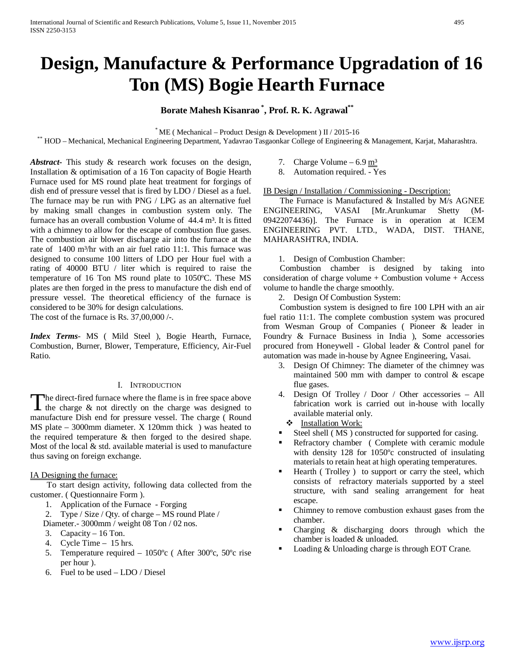# **Design, Manufacture & Performance Upgradation of 16 Ton (MS) Bogie Hearth Furnace**

**Borate Mahesh Kisanrao \* , Prof. R. K. Agrawal\*\***

\* ME ( Mechanical – Product Design & Development ) II / 2015-16 \*\* HOD – Mechanical, Mechanical Engineering Department, Yadavrao Tasgaonkar College of Engineering & Management, Karjat, Maharashtra.

*Abstract***-** This study & research work focuses on the design, Installation & optimisation of a 16 Ton capacity of Bogie Hearth Furnace used for MS round plate heat treatment for forgings of dish end of pressure vessel that is fired by LDO / Diesel as a fuel. The furnace may be run with PNG / LPG as an alternative fuel by making small changes in combustion system only. The furnace has an overall combustion Volume of 44.4 m<sup>3</sup>. It is fitted with a chimney to allow for the escape of combustion flue gases. The combustion air blower discharge air into the furnace at the rate of 1400 m<sup>3</sup>/hr with an air fuel ratio 11:1. This furnace was designed to consume 100 litters of LDO per Hour fuel with a rating of 40000 BTU / liter which is required to raise the temperature of 16 Ton MS round plate to 1050ºC. These MS plates are then forged in the press to manufacture the dish end of pressure vessel. The theoretical efficiency of the furnace is considered to be 30% for design calculations.

The cost of the furnace is Rs.  $37,00,000$  /-.

*Index Terms*- MS ( Mild Steel ), Bogie Hearth, Furnace, Combustion, Burner, Blower, Temperature, Efficiency, Air-Fuel Ratio.

# I. INTRODUCTION

he direct-fired furnace where the flame is in free space above The direct-fired furnace where the flame is in free space above<br>the charge  $\&$  not directly on the charge was designed to<br> $\&$  the charge  $\&$  not directly on the charge was designed to manufacture Dish end for pressure vessel. The charge ( Round MS plate – 3000mm diameter. X 120mm thick ) was heated to the required temperature & then forged to the desired shape. Most of the local & std. available material is used to manufacture thus saving on foreign exchange.

# IA Designing the furnace:

 To start design activity, following data collected from the customer. ( Questionnaire Form ).

- 1. Application of the Furnace Forging
- 2. Type / Size / Qty. of charge MS round Plate /
- Diameter.- 3000mm / weight 08 Ton / 02 nos.
- 3. Capacity 16 Ton.
- 4. Cycle Time 15 hrs.
- 5. Temperature required 1050ºc ( After 300ºc, 50ºc rise per hour ).
- 6. Fuel to be used LDO / Diesel
- 7. Charge Volume  $6.9 \text{ m}^3$
- 8. Automation required. Yes

## IB Design / Installation / Commissioning - Description:

 The Furnace is Manufactured & Installed by M/s AGNEE ENGINEERING, VASAI [Mr.Arunkumar Shetty (M-09422074436)]. The Furnace is in operation at ICEM ENGINEERING PVT. LTD., WADA, DIST. THANE, MAHARASHTRA, INDIA.

1. Design of Combustion Chamber:

 Combustion chamber is designed by taking into consideration of charge volume + Combustion volume + Access volume to handle the charge smoothly.

2. Design Of Combustion System:

 Combustion system is designed to fire 100 LPH with an air fuel ratio 11:1. The complete combustion system was procured from Wesman Group of Companies ( Pioneer & leader in Foundry & Furnace Business in India ), Some accessories procured from Honeywell - Global leader & Control panel for automation was made in-house by Agnee Engineering, Vasai.

- 3. Design Of Chimney: The diameter of the chimney was maintained 500 mm with damper to control & escape flue gases.
- 4. Design Of Trolley / Door / Other accessories All fabrication work is carried out in-house with locally available material only.

#### **\*** Installation Work:

- Steel shell ( MS ) constructed for supported for casing.
- Refractory chamber ( Complete with ceramic module with density 128 for 1050ºc constructed of insulating materials to retain heat at high operating temperatures.
- Hearth ( Trolley ) to support or carry the steel, which consists of refractory materials supported by a steel structure, with sand sealing arrangement for heat escape.
- Chimney to remove combustion exhaust gases from the chamber.
- Charging & discharging doors through which the chamber is loaded & unloaded.
- Loading & Unloading charge is through EOT Crane.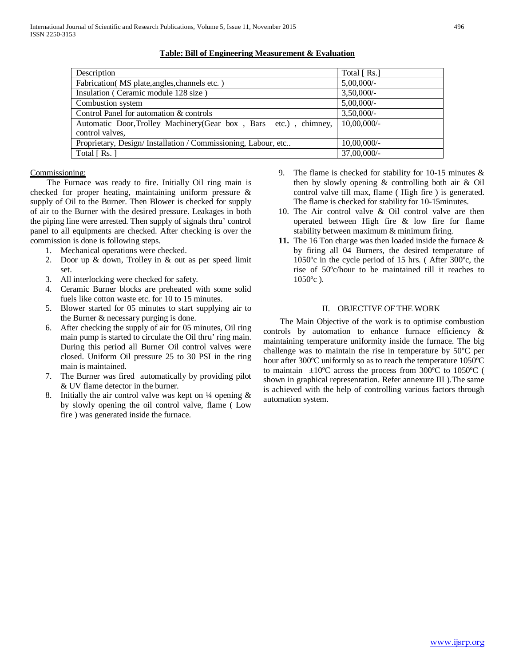| Total $[Rs.]$  |
|----------------|
| $5,00,000/$ -  |
| $3,50,000/$ -  |
| $5,00,000/$ -  |
| $3,50,000/$ -  |
| $10,00,000/$ - |
|                |
| $10,00,000/$ - |
| 37,00,000/-    |
|                |

**Table: Bill of Engineering Measurement & Evaluation**

## Commissioning:

 The Furnace was ready to fire. Initially Oil ring main is checked for proper heating, maintaining uniform pressure & supply of Oil to the Burner. Then Blower is checked for supply of air to the Burner with the desired pressure. Leakages in both the piping line were arrested. Then supply of signals thru' control panel to all equipments are checked. After checking is over the commission is done is following steps.

- 1. Mechanical operations were checked.
- 2. Door up & down, Trolley in & out as per speed limit set.
- 3. All interlocking were checked for safety.
- 4. Ceramic Burner blocks are preheated with some solid fuels like cotton waste etc. for 10 to 15 minutes.
- 5. Blower started for 05 minutes to start supplying air to the Burner & necessary purging is done.
- 6. After checking the supply of air for 05 minutes, Oil ring main pump is started to circulate the Oil thru' ring main. During this period all Burner Oil control valves were closed. Uniform Oil pressure 25 to 30 PSI in the ring main is maintained.
- 7. The Burner was fired automatically by providing pilot & UV flame detector in the burner.
- 8. Initially the air control valve was kept on  $\frac{1}{4}$  opening & by slowly opening the oil control valve, flame ( Low fire ) was generated inside the furnace.
- 9. The flame is checked for stability for 10-15 minutes & then by slowly opening & controlling both air & Oil control valve till max, flame ( High fire ) is generated. The flame is checked for stability for 10-15minutes.
- 10. The Air control valve & Oil control valve are then operated between High fire & low fire for flame stability between maximum & minimum firing.
- **11.** The 16 Ton charge was then loaded inside the furnace & by firing all 04 Burners, the desired temperature of 1050ºc in the cycle period of 15 hrs. ( After 300ºc, the rise of 50ºc/hour to be maintained till it reaches to  $1050^{\circ}$ c).

## II. OBJECTIVE OF THE WORK

 The Main Objective of the work is to optimise combustion controls by automation to enhance furnace efficiency & maintaining temperature uniformity inside the furnace. The big challenge was to maintain the rise in temperature by 50ºC per hour after 300ºC uniformly so as to reach the temperature 1050ºC to maintain  $\pm 10^{\circ}$ C across the process from 300 $^{\circ}$ C to 1050 $^{\circ}$ C ( shown in graphical representation. Refer annexure III ).The same is achieved with the help of controlling various factors through automation system.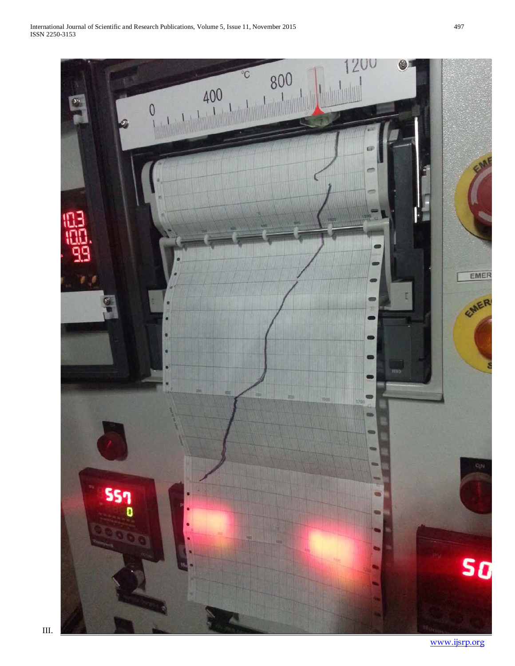

[www.ijsrp.org](http://ijsrp.org/)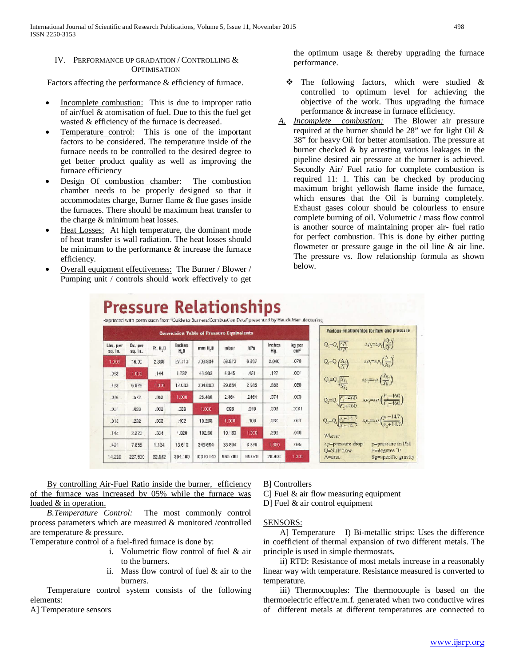# IV. PERFORMANCE UP GRADATION / CONTROLLING & **OPTIMISATION**

Factors affecting the performance & efficiency of furnace.

- Incomplete combustion: This is due to improper ratio of air/fuel & atomisation of fuel. Due to this the fuel get wasted & efficiency of the furnace is decreased.
- Temperature control: This is one of the important factors to be considered. The temperature inside of the furnace needs to be controlled to the desired degree to get better product quality as well as improving the furnace efficiency
- Design Of combustion chamber: The combustion chamber needs to be properly designed so that it accommodates charge, Burner flame & flue gases inside the furnaces. There should be maximum heat transfer to the charge & minimum heat losses.
- Heat Losses: At high temperature, the dominant mode of heat transfer is wall radiation. The heat losses should be minimum to the performance & increase the furnace efficiency.
- Overall equipment effectiveness: The Burner / Blower / Pumping unit / controls should work effectively to get

the optimum usage & thereby upgrading the furnace performance.

- $\triangle$  The following factors, which were studied  $\&$ controlled to optimum level for achieving the objective of the work. Thus upgrading the furnace performance & increase in furnace efficiency.
- *A. Incomplete combustion:* The Blower air pressure required at the burner should be 28" wc for light Oil & 38" for heavy Oil for better atomisation. The pressure at burner checked & by arresting various leakages in the pipeline desired air pressure at the burner is achieved. Secondly Air/ Fuel ratio for complete combustion is required 11: 1. This can be checked by producing maximum bright yellowish flame inside the furnace, which ensures that the Oil is burning completely. Exhaust gases colour should be colourless to ensure complete burning of oil. Volumetric / mass flow control is another source of maintaining proper air- fuel ratio for perfect combustion. This is done by either putting flowmeter or pressure gauge in the oil line & air line. The pressure vs. flow relationship formula as shown below.

| Conversion Table of Pressure Equivalents |                    |        |               |           |                 |        |               |                           | Various relationships for flow and pressure                                                                                                                                                   |
|------------------------------------------|--------------------|--------|---------------|-----------|-----------------|--------|---------------|---------------------------|-----------------------------------------------------------------------------------------------------------------------------------------------------------------------------------------------|
| Lies. per<br>su. In.                     | Dx. per<br>su. it. | R. H.D | Inches<br>H,D | mm H.B    | mbar            | kPa    | Inches<br>Hg. | kg per<br>cm <sup>2</sup> | $-3p_2=2p_1(\frac{Q_2}{Q_1})$<br>$Q_0 = Q_0 \sqrt{\frac{a_1 p_1}{a_1 p_1}}$                                                                                                                   |
| 1,000                                    | 16.31              | 2,308  | 27,73         | /33834    | 38.973          | 0.297  | 2.040         | C70                       | $\frac{\Delta p_i - \Delta p_i\left(\frac{\Delta}{\Delta p_i}\right)}{\Delta p_i}$<br>$Q - Q \left(\frac{A_0}{A}\right)$                                                                      |
| .353                                     | 000                | ,144   | 1722          | 43,983    | 4.345           | 481    | .127          | CC                        |                                                                                                                                                                                               |
| 383                                      | 6828               | 1,000  | 12133         | 334,803   | 29.884          | 2985   | .888          | CCD.                      | $Q_{\gamma} \!\!=\! Q_{\gamma} \!\! \left[ \! \frac{g_{X_1}}{g_{\gamma}} \right] \qquad \quad \alpha_{\gamma} \!\!=\!\! \alpha_{\gamma} \!\! \left( \! \frac{g_{X_2}}{g_{\gamma}} \! \right)$ |
| JEE                                      | 362                | .182   | 1,008         | 25.400    | 2.184           | .2464  | .074          | CC <sub>3</sub>           |                                                                                                                                                                                               |
| .00°                                     | J123               | .003   | C99           | 1,000     | C6B             | 010    | 173           | 3001                      |                                                                                                                                                                                               |
| .015                                     | .232               | .032   | AC2           | 10.208    | 1,000           | 100    | 1130          | 331                       | $Q_i - Q_i \frac{p_i + 14.5}{n + 14.5}$ $4p_i - 4p_i \left(\frac{n - 14.7}{n + 14.5}\right)$                                                                                                  |
| .14.1                                    | 2:325              | K      | 2.020         | 102.00    | $10 - 83$       | 1,000  | ,235          | .010                      | Where:                                                                                                                                                                                        |
| 391                                      | 7.855              | 1.134  | 136 D         | 345.604   | 33 864          | 3.586  | <b>LIDO</b>   | <b>CGh</b>                | ap-pressure drop<br>p-pressure in PS1                                                                                                                                                         |
| 14.220                                   | 227.600            | 32.842 | 394.00        | ICB10.140 | <b>SHOWTHOL</b> | 99.070 | 20.900        | 1,000                     | P=degrees [P]<br>U=SIF Low-<br>Sg=specific gravity<br>$A = 2P + 1$                                                                                                                            |

By controlling Air-Fuel Ratio inside the burner, efficiency of the furnace was increased by 05% while the furnace was loaded & in operation.

 *B.Temperature Control:* The most commonly control process parameters which are measured & monitored /controlled are temperature & pressure.

Temperature control of a fuel-fired furnace is done by:

- i. Volumetric flow control of fuel & air to the burners.
- ii. Mass flow control of fuel & air to the burners.

 Temperature control system consists of the following elements:

A] Temperature sensors

B] Controllers

C] Fuel & air flow measuring equipment D] Fuel & air control equipment

# SENSORS:

 A] Temperature – I) Bi-metallic strips: Uses the difference in coefficient of thermal expansion of two different metals. The principle is used in simple thermostats.

 ii) RTD: Resistance of most metals increase in a reasonably linear way with temperature. Resistance measured is converted to temperature.

 iii) Thermocouples: The thermocouple is based on the thermoelectric effect/e.m.f. generated when two conductive wires of different metals at different temperatures are connected to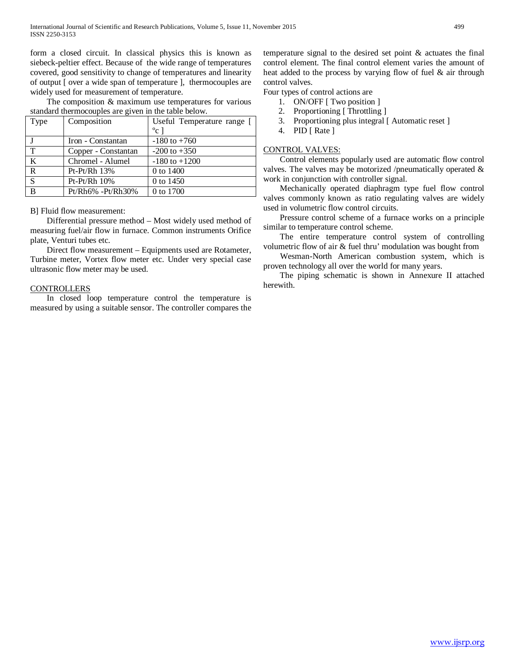form a closed circuit. In classical physics this is known as siebeck-peltier effect. Because of the wide range of temperatures covered, good sensitivity to change of temperatures and linearity of output [ over a wide span of temperature ], thermocouples are widely used for measurement of temperature.

 The composition & maximum use temperatures for various standard thermocouples are given in the table below.

| Type         | Composition         | Useful Temperature range [ |
|--------------|---------------------|----------------------------|
|              |                     | $^{\circ}$ c ]             |
|              | Iron - Constantan   | $-180$ to $+760$           |
| $\mathbf T$  | Copper - Constantan | $-200$ to $+350$           |
| K            | Chromel - Alumel    | $-180$ to $+1200$          |
| R            | $Pt-Pt/Rh$ 13%      | 0 to 1400                  |
| <sup>S</sup> | $Pt-Pt/Rh$ 10%      | 0 to 1450                  |
| B            | Pt/Rh6% -Pt/Rh30%   | 0 to 1700                  |

B] Fluid flow measurement:

 Differential pressure method – Most widely used method of measuring fuel/air flow in furnace. Common instruments Orifice plate, Venturi tubes etc.

 Direct flow measurement – Equipments used are Rotameter, Turbine meter, Vortex flow meter etc. Under very special case ultrasonic flow meter may be used.

#### **CONTROLLERS**

 In closed loop temperature control the temperature is measured by using a suitable sensor. The controller compares the temperature signal to the desired set point & actuates the final control element. The final control element varies the amount of heat added to the process by varying flow of fuel & air through control valves.

Four types of control actions are

- 1. ON/OFF [ Two position ]
- 2. Proportioning [ Throttling ]
- 3. Proportioning plus integral [ Automatic reset ]
- 4. PID [ Rate ]

# CONTROL VALVES:

 Control elements popularly used are automatic flow control valves. The valves may be motorized /pneumatically operated  $\&$ work in conjunction with controller signal.

 Mechanically operated diaphragm type fuel flow control valves commonly known as ratio regulating valves are widely used in volumetric flow control circuits.

 Pressure control scheme of a furnace works on a principle similar to temperature control scheme.

 The entire temperature control system of controlling volumetric flow of air & fuel thru' modulation was bought from

 Wesman-North American combustion system, which is proven technology all over the world for many years.

 The piping schematic is shown in Annexure II attached herewith.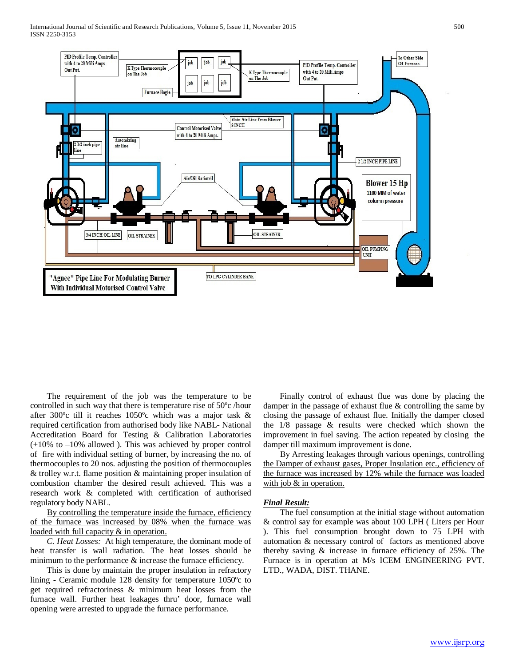

 The requirement of the job was the temperature to be controlled in such way that there is temperature rise of 50ºc /hour after 300ºc till it reaches 1050ºc which was a major task & required certification from authorised body like NABL- National Accreditation Board for Testing & Calibration Laboratories (+10% to –10% allowed ). This was achieved by proper control of fire with individual setting of burner, by increasing the no. of thermocouples to 20 nos. adjusting the position of thermocouples & trolley w.r.t. flame position & maintaining proper insulation of combustion chamber the desired result achieved. This was a research work & completed with certification of authorised regulatory body NABL.

 By controlling the temperature inside the furnace, efficiency of the furnace was increased by 08% when the furnace was loaded with full capacity & in operation.

 *C. Heat Losses:* At high temperature, the dominant mode of heat transfer is wall radiation. The heat losses should be minimum to the performance & increase the furnace efficiency.

 This is done by maintain the proper insulation in refractory lining - Ceramic module 128 density for temperature 1050ºc to get required refractoriness & minimum heat losses from the furnace wall. Further heat leakages thru' door, furnace wall opening were arrested to upgrade the furnace performance.

 Finally control of exhaust flue was done by placing the damper in the passage of exhaust flue  $&$  controlling the same by closing the passage of exhaust flue. Initially the damper closed the 1/8 passage & results were checked which shown the improvement in fuel saving. The action repeated by closing the damper till maximum improvement is done.

 By Arresting leakages through various openings, controlling the Damper of exhaust gases, Proper Insulation etc., efficiency of the furnace was increased by 12% while the furnace was loaded with job & in operation.

## *Final Result:*

 The fuel consumption at the initial stage without automation & control say for example was about 100 LPH ( Liters per Hour ). This fuel consumption brought down to 75 LPH with automation & necessary control of factors as mentioned above thereby saving & increase in furnace efficiency of 25%. The Furnace is in operation at M/s ICEM ENGINEERING PVT. LTD., WADA, DIST. THANE.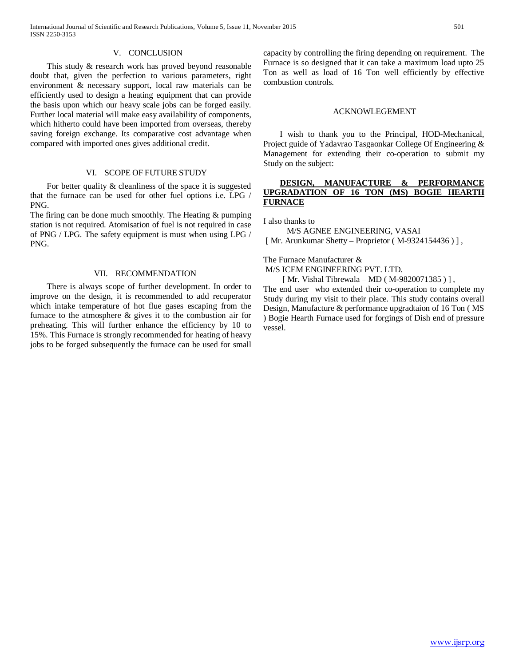#### V. CONCLUSION

 This study & research work has proved beyond reasonable doubt that, given the perfection to various parameters, right environment & necessary support, local raw materials can be efficiently used to design a heating equipment that can provide the basis upon which our heavy scale jobs can be forged easily. Further local material will make easy availability of components, which hitherto could have been imported from overseas, thereby saving foreign exchange. Its comparative cost advantage when compared with imported ones gives additional credit.

#### VI. SCOPE OF FUTURE STUDY

 For better quality & cleanliness of the space it is suggested that the furnace can be used for other fuel options i.e. LPG / PNG.

The firing can be done much smoothly. The Heating & pumping station is not required. Atomisation of fuel is not required in case of PNG / LPG. The safety equipment is must when using LPG / PNG.

# VII. RECOMMENDATION

 There is always scope of further development. In order to improve on the design, it is recommended to add recuperator which intake temperature of hot flue gases escaping from the furnace to the atmosphere & gives it to the combustion air for preheating. This will further enhance the efficiency by 10 to 15%. This Furnace is strongly recommended for heating of heavy jobs to be forged subsequently the furnace can be used for small capacity by controlling the firing depending on requirement. The Furnace is so designed that it can take a maximum load upto 25 Ton as well as load of 16 Ton well efficiently by effective combustion controls.

#### ACKNOWLEGEMENT

 I wish to thank you to the Principal, HOD-Mechanical, Project guide of Yadavrao Tasgaonkar College Of Engineering & Management for extending their co-operation to submit my Study on the subject:

# **DESIGN, MANUFACTURE & PERFORMANCE UPGRADATION OF 16 TON (MS) BOGIE HEARTH FURNACE**

I also thanks to

M/S AGNEE ENGINEERING, VASAI

[ Mr. Arunkumar Shetty – Proprietor (M-9324154436)],

The Furnace Manufacturer &

M/S ICEM ENGINEERING PVT. LTD.

[ Mr. Vishal Tibrewala – MD ( M-9820071385 ) ],

The end user who extended their co-operation to complete my Study during my visit to their place. This study contains overall Design, Manufacture & performance upgradtaion of 16 Ton ( MS ) Bogie Hearth Furnace used for forgings of Dish end of pressure vessel.